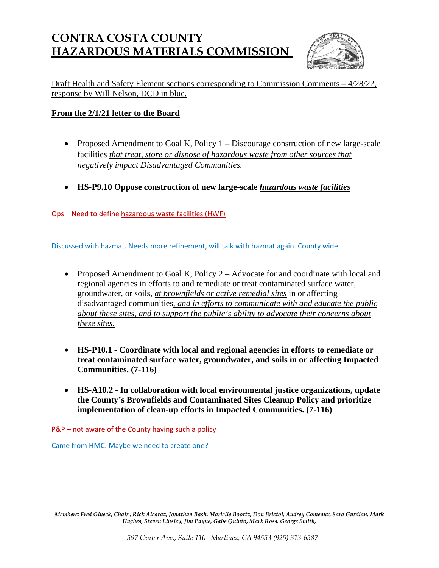# **CONTRA COSTA COUNTY HAZARDOUS MATERIALS COMMISSION**



Draft Health and Safety Element sections corresponding to Commission Comments – 4/28/22, response by Will Nelson, DCD in blue.

## **From the 2/1/21 letter to the Board**

- Proposed Amendment to Goal K, Policy  $1 -$  Discourage construction of new large-scale facilities *that treat, store or dispose of hazardous waste from other sources that negatively impact Disadvantaged Communities.*
- **HS-P9.10 Oppose construction of new large-scale** *hazardous waste facilities*

Ops – Need to define hazardous waste facilities (HWF)

Discussed with hazmat. Needs more refinement, will talk with hazmat again. County wide.

- Proposed Amendment to Goal K, Policy 2 Advocate for and coordinate with local and regional agencies in efforts to and remediate or treat contaminated surface water, groundwater, or soils, *at brownfields or active remedial sites* in or affecting disadvantaged communities, *and in efforts to communicate with and educate the public about these sites, and to support the public's ability to advocate their concerns about these sites.*
- **HS-P10.1 Coordinate with local and regional agencies in efforts to remediate or treat contaminated surface water, groundwater, and soils in or affecting Impacted Communities. (7-116)**
- **HS-A10.2 In collaboration with local environmental justice organizations, update the County's Brownfields and Contaminated Sites Cleanup Policy and prioritize implementation of clean-up efforts in Impacted Communities. (7-116)**

P&P – not aware of the County having such a policy

Came from HMC. Maybe we need to create one?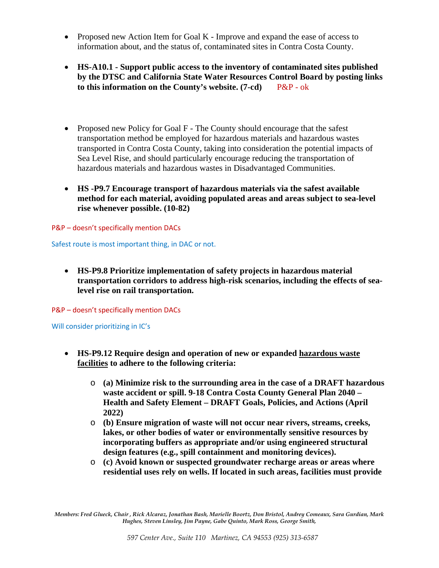- Proposed new Action Item for Goal K Improve and expand the ease of access to information about, and the status of, contaminated sites in Contra Costa County.
- **HS-A10.1 Support public access to the inventory of contaminated sites published by the DTSC and California State Water Resources Control Board by posting links to this information on the County's website. (7-cd)** P&P - ok
- Proposed new Policy for Goal F The County should encourage that the safest transportation method be employed for hazardous materials and hazardous wastes transported in Contra Costa County, taking into consideration the potential impacts of Sea Level Rise, and should particularly encourage reducing the transportation of hazardous materials and hazardous wastes in Disadvantaged Communities.
- **HS -P9.7 Encourage transport of hazardous materials via the safest available method for each material, avoiding populated areas and areas subject to sea-level rise whenever possible. (10-82)**

P&P – doesn't specifically mention DACs

Safest route is most important thing, in DAC or not.

• **HS-P9.8 Prioritize implementation of safety projects in hazardous material transportation corridors to address high-risk scenarios, including the effects of sealevel rise on rail transportation.**

P&P – doesn't specifically mention DACs

Will consider prioritizing in IC's

- **HS-P9.12 Require design and operation of new or expanded hazardous waste facilities to adhere to the following criteria:** 
	- o **(a) Minimize risk to the surrounding area in the case of a DRAFT hazardous waste accident or spill. 9-18 Contra Costa County General Plan 2040 – Health and Safety Element – DRAFT Goals, Policies, and Actions (April 2022)**
	- o **(b) Ensure migration of waste will not occur near rivers, streams, creeks, lakes, or other bodies of water or environmentally sensitive resources by incorporating buffers as appropriate and/or using engineered structural design features (e.g., spill containment and monitoring devices).**
	- o **(c) Avoid known or suspected groundwater recharge areas or areas where residential uses rely on wells. If located in such areas, facilities must provide**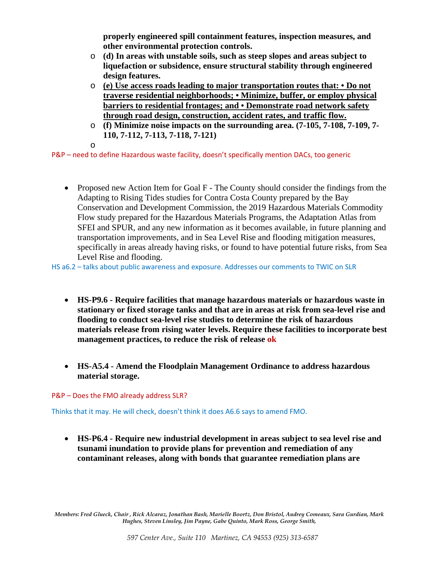**properly engineered spill containment features, inspection measures, and other environmental protection controls.** 

- o **(d) In areas with unstable soils, such as steep slopes and areas subject to liquefaction or subsidence, ensure structural stability through engineered design features.**
- o **(e) Use access roads leading to major transportation routes that: Do not traverse residential neighborhoods; • Minimize, buffer, or employ physical barriers to residential frontages; and • Demonstrate road network safety through road design, construction, accident rates, and traffic flow.**
- o **(f) Minimize noise impacts on the surrounding area. (7-105, 7-108, 7-109, 7- 110, 7-112, 7-113, 7-118, 7-121)**
- o

P&P – need to define Hazardous waste facility, doesn't specifically mention DACs, too generic

• Proposed new Action Item for Goal F - The County should consider the findings from the Adapting to Rising Tides studies for Contra Costa County prepared by the Bay Conservation and Development Commission, the 2019 Hazardous Materials Commodity Flow study prepared for the Hazardous Materials Programs, the Adaptation Atlas from SFEI and SPUR, and any new information as it becomes available, in future planning and transportation improvements, and in Sea Level Rise and flooding mitigation measures, specifically in areas already having risks, or found to have potential future risks, from Sea Level Rise and flooding.

HS a6.2 – talks about public awareness and exposure. Addresses our comments to TWIC on SLR

- **HS-P9.6 Require facilities that manage hazardous materials or hazardous waste in stationary or fixed storage tanks and that are in areas at risk from sea-level rise and flooding to conduct sea-level rise studies to determine the risk of hazardous materials release from rising water levels. Require these facilities to incorporate best management practices, to reduce the risk of release ok**
- **HS-A5.4 Amend the Floodplain Management Ordinance to address hazardous material storage.**

P&P – Does the FMO already address SLR?

Thinks that it may. He will check, doesn't think it does A6.6 says to amend FMO.

• **HS-P6.4 - Require new industrial development in areas subject to sea level rise and tsunami inundation to provide plans for prevention and remediation of any contaminant releases, along with bonds that guarantee remediation plans are**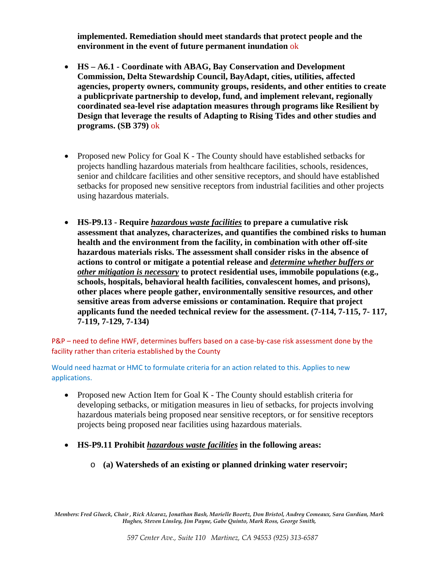**implemented. Remediation should meet standards that protect people and the environment in the event of future permanent inundation** ok

- **HS A6.1 Coordinate with ABAG, Bay Conservation and Development Commission, Delta Stewardship Council, BayAdapt, cities, utilities, affected agencies, property owners, community groups, residents, and other entities to create a publicprivate partnership to develop, fund, and implement relevant, regionally coordinated sea-level rise adaptation measures through programs like Resilient by Design that leverage the results of Adapting to Rising Tides and other studies and programs. (SB 379)** ok
- Proposed new Policy for Goal K The County should have established setbacks for projects handling hazardous materials from healthcare facilities, schools, residences, senior and childcare facilities and other sensitive receptors, and should have established setbacks for proposed new sensitive receptors from industrial facilities and other projects using hazardous materials.
- **HS-P9.13 Require** *hazardous waste facilities* **to prepare a cumulative risk assessment that analyzes, characterizes, and quantifies the combined risks to human health and the environment from the facility, in combination with other off-site hazardous materials risks. The assessment shall consider risks in the absence of actions to control or mitigate a potential release and** *determine whether buffers or other mitigation is necessary* **to protect residential uses, immobile populations (e.g., schools, hospitals, behavioral health facilities, convalescent homes, and prisons), other places where people gather, environmentally sensitive resources, and other sensitive areas from adverse emissions or contamination. Require that project applicants fund the needed technical review for the assessment. (7-114, 7-115, 7- 117, 7-119, 7-129, 7-134)**

P&P – need to define HWF, determines buffers based on a case-by-case risk assessment done by the facility rather than criteria established by the County

Would need hazmat or HMC to formulate criteria for an action related to this. Applies to new applications.

- Proposed new Action Item for Goal K The County should establish criteria for developing setbacks, or mitigation measures in lieu of setbacks, for projects involving hazardous materials being proposed near sensitive receptors, or for sensitive receptors projects being proposed near facilities using hazardous materials.
- **HS-P9.11 Prohibit** *hazardous waste facilities* **in the following areas:** 
	- o **(a) Watersheds of an existing or planned drinking water reservoir;**

*Members: Fred Glueck, Chair , Rick Alcaraz, Jonathan Bash, Marielle Boortz, Don Bristol, Audrey Comeaux, Sara Gurdian, Mark Hughes, Steven Linsley, Jim Payne, Gabe Quinto, Mark Ross, George Smith,*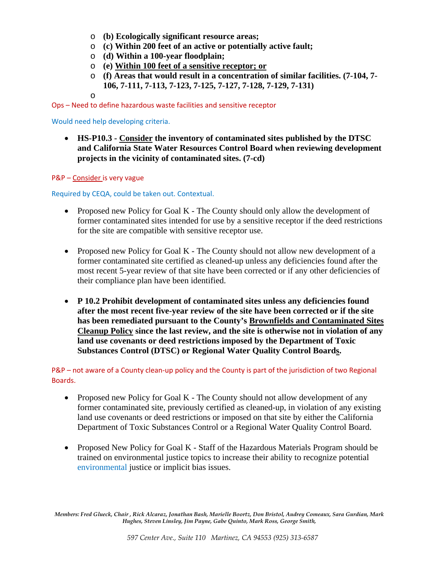- o **(b) Ecologically significant resource areas;**
- o **(c) Within 200 feet of an active or potentially active fault;**
- o **(d) Within a 100-year floodplain;**
- o **(e) Within 100 feet of a sensitive receptor; or**
- o **(f) Areas that would result in a concentration of similar facilities. (7-104, 7- 106, 7-111, 7-113, 7-123, 7-125, 7-127, 7-128, 7-129, 7-131)**
- o

Ops – Need to define hazardous waste facilities and sensitive receptor

Would need help developing criteria.

• **HS-P10.3 - Consider the inventory of contaminated sites published by the DTSC and California State Water Resources Control Board when reviewing development projects in the vicinity of contaminated sites. (7-cd)**

P&P – Consider is very vague

Required by CEQA, could be taken out. Contextual.

- Proposed new Policy for Goal K The County should only allow the development of former contaminated sites intended for use by a sensitive receptor if the deed restrictions for the site are compatible with sensitive receptor use.
- Proposed new Policy for Goal K The County should not allow new development of a former contaminated site certified as cleaned-up unless any deficiencies found after the most recent 5-year review of that site have been corrected or if any other deficiencies of their compliance plan have been identified.
- **P 10.2 Prohibit development of contaminated sites unless any deficiencies found after the most recent five-year review of the site have been corrected or if the site has been remediated pursuant to the County's Brownfields and Contaminated Sites Cleanup Policy since the last review, and the site is otherwise not in violation of any land use covenants or deed restrictions imposed by the Department of Toxic Substances Control (DTSC) or Regional Water Quality Control Boards.**

P&P – not aware of a County clean-up policy and the County is part of the jurisdiction of two Regional Boards.

- Proposed new Policy for Goal K The County should not allow development of any former contaminated site, previously certified as cleaned-up, in violation of any existing land use covenants or deed restrictions or imposed on that site by either the California Department of Toxic Substances Control or a Regional Water Quality Control Board.
- Proposed New Policy for Goal K Staff of the Hazardous Materials Program should be trained on environmental justice topics to increase their ability to recognize potential environmental justice or implicit bias issues.

*Members: Fred Glueck, Chair , Rick Alcaraz, Jonathan Bash, Marielle Boortz, Don Bristol, Audrey Comeaux, Sara Gurdian, Mark Hughes, Steven Linsley, Jim Payne, Gabe Quinto, Mark Ross, George Smith,*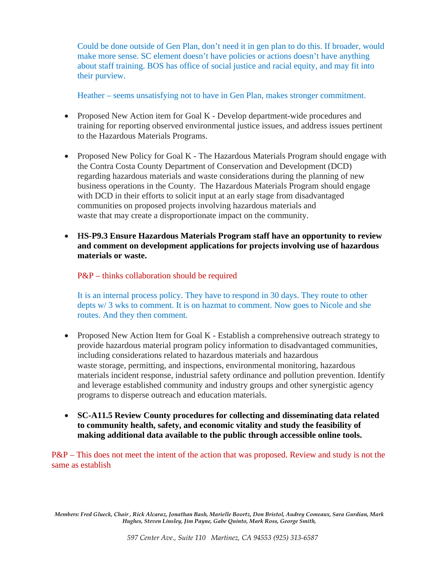Could be done outside of Gen Plan, don't need it in gen plan to do this. If broader, would make more sense. SC element doesn't have policies or actions doesn't have anything about staff training. BOS has office of social justice and racial equity, and may fit into their purview.

Heather – seems unsatisfying not to have in Gen Plan, makes stronger commitment.

- Proposed New Action item for Goal K Develop department-wide procedures and training for reporting observed environmental justice issues, and address issues pertinent to the Hazardous Materials Programs.
- Proposed New Policy for Goal K The Hazardous Materials Program should engage with the Contra Costa County Department of Conservation and Development (DCD) regarding hazardous materials and waste considerations during the planning of new business operations in the County. The Hazardous Materials Program should engage with DCD in their efforts to solicit input at an early stage from disadvantaged communities on proposed projects involving hazardous materials and waste that may create a disproportionate impact on the community.
- **HS-P9.3 Ensure Hazardous Materials Program staff have an opportunity to review and comment on development applications for projects involving use of hazardous materials or waste.**

## P&P – thinks collaboration should be required

It is an internal process policy. They have to respond in 30 days. They route to other depts w/ 3 wks to comment. It is on hazmat to comment. Now goes to Nicole and she routes. And they then comment.

- Proposed New Action Item for Goal K Establish a comprehensive outreach strategy to provide hazardous material program policy information to disadvantaged communities, including considerations related to hazardous materials and hazardous waste storage, permitting, and inspections, environmental monitoring, hazardous materials incident response, industrial safety ordinance and pollution prevention. Identify and leverage established community and industry groups and other synergistic agency programs to disperse outreach and education materials.
- **SC-A11.5 Review County procedures for collecting and disseminating data related to community health, safety, and economic vitality and study the feasibility of making additional data available to the public through accessible online tools.**

P&P – This does not meet the intent of the action that was proposed. Review and study is not the same as establish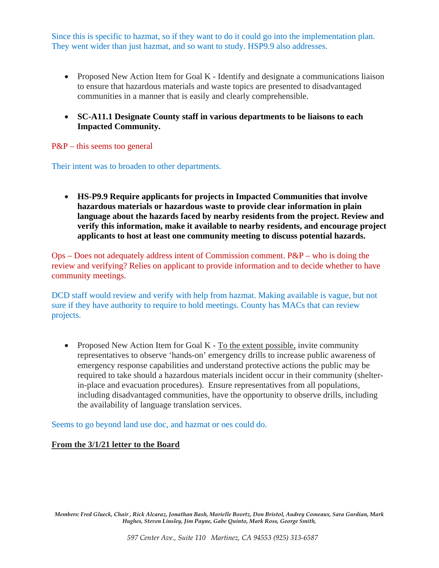Since this is specific to hazmat, so if they want to do it could go into the implementation plan. They went wider than just hazmat, and so want to study. HSP9.9 also addresses.

- Proposed New Action Item for Goal K Identify and designate a communications liaison to ensure that hazardous materials and waste topics are presented to disadvantaged communities in a manner that is easily and clearly comprehensible.
- **SC-A11.1 Designate County staff in various departments to be liaisons to each Impacted Community.**

#### P&P – this seems too general

Their intent was to broaden to other departments.

• **HS-P9.9 Require applicants for projects in Impacted Communities that involve hazardous materials or hazardous waste to provide clear information in plain language about the hazards faced by nearby residents from the project. Review and verify this information, make it available to nearby residents, and encourage project applicants to host at least one community meeting to discuss potential hazards.**

 $Ops - Does not adequately address intent of Commission comment.  $P\&P - who is doing the$$ review and verifying? Relies on applicant to provide information and to decide whether to have community meetings.

DCD staff would review and verify with help from hazmat. Making available is vague, but not sure if they have authority to require to hold meetings. County has MACs that can review projects.

• Proposed New Action Item for Goal  $K$  - To the extent possible, invite community representatives to observe 'hands-on' emergency drills to increase public awareness of emergency response capabilities and understand protective actions the public may be required to take should a hazardous materials incident occur in their community (shelterin-place and evacuation procedures). Ensure representatives from all populations, including disadvantaged communities, have the opportunity to observe drills, including the availability of language translation services.

Seems to go beyond land use doc, and hazmat or oes could do.

### **From the 3/1/21 letter to the Board**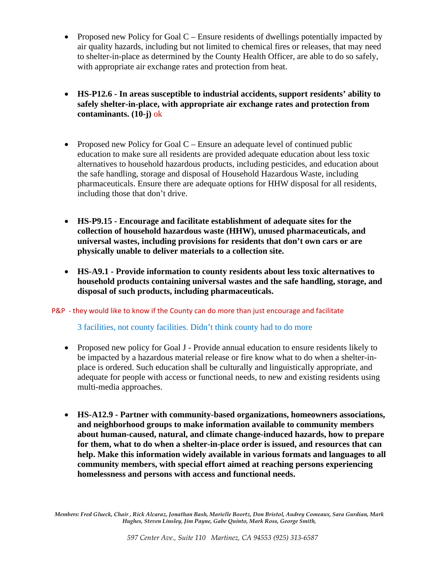- Proposed new Policy for Goal C Ensure residents of dwellings potentially impacted by air quality hazards, including but not limited to chemical fires or releases, that may need to shelter-in-place as determined by the County Health Officer, are able to do so safely, with appropriate air exchange rates and protection from heat.
- **HS-P12.6 In areas susceptible to industrial accidents, support residents' ability to safely shelter-in-place, with appropriate air exchange rates and protection from contaminants. (10-j)** ok
- Proposed new Policy for Goal C Ensure an adequate level of continued public education to make sure all residents are provided adequate education about less toxic alternatives to household hazardous products, including pesticides, and education about the safe handling, storage and disposal of Household Hazardous Waste, including pharmaceuticals. Ensure there are adequate options for HHW disposal for all residents, including those that don't drive.
- **HS-P9.15 Encourage and facilitate establishment of adequate sites for the collection of household hazardous waste (HHW), unused pharmaceuticals, and universal wastes, including provisions for residents that don't own cars or are physically unable to deliver materials to a collection site.**
- **HS-A9.1 Provide information to county residents about less toxic alternatives to household products containing universal wastes and the safe handling, storage, and disposal of such products, including pharmaceuticals.**

P&P - they would like to know if the County can do more than just encourage and facilitate

3 facilities, not county facilities. Didn't think county had to do more

- Proposed new policy for Goal J Provide annual education to ensure residents likely to be impacted by a hazardous material release or fire know what to do when a shelter-inplace is ordered. Such education shall be culturally and linguistically appropriate, and adequate for people with access or functional needs, to new and existing residents using multi-media approaches.
- **HS-A12.9 Partner with community-based organizations, homeowners associations, and neighborhood groups to make information available to community members about human-caused, natural, and climate change-induced hazards, how to prepare for them, what to do when a shelter-in-place order is issued, and resources that can help. Make this information widely available in various formats and languages to all community members, with special effort aimed at reaching persons experiencing homelessness and persons with access and functional needs.**